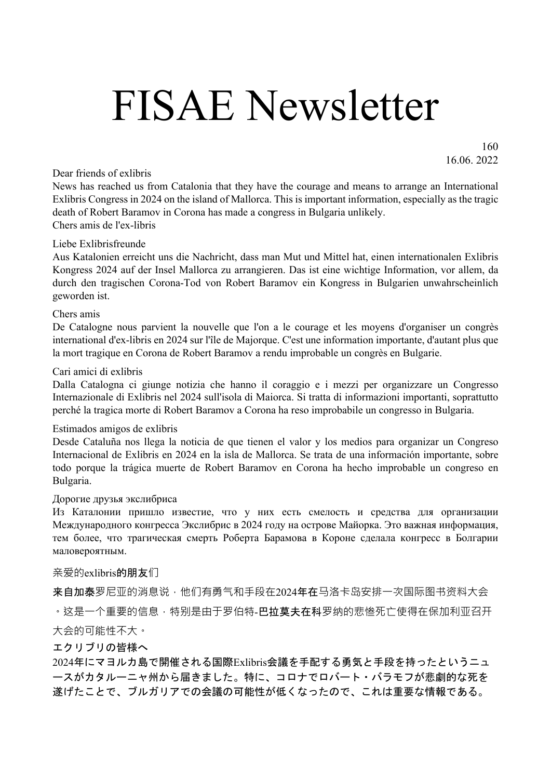# FISAE Newsletter

160 16.06. 2022

Dear friends of exlibris

News has reached us from Catalonia that they have the courage and means to arrange an International Exlibris Congress in 2024 on the island of Mallorca. This is important information, especially as the tragic death of Robert Baramov in Corona has made a congress in Bulgaria unlikely. Chers amis de l'ex-libris

#### Liebe Exlibrisfreunde

Aus Katalonien erreicht uns die Nachricht, dass man Mut und Mittel hat, einen internationalen Exlibris Kongress 2024 auf der Insel Mallorca zu arrangieren. Das ist eine wichtige Information, vor allem, da durch den tragischen Corona-Tod von Robert Baramov ein Kongress in Bulgarien unwahrscheinlich geworden ist.

#### Chers amis

De Catalogne nous parvient la nouvelle que l'on a le courage et les moyens d'organiser un congrès international d'ex-libris en 2024 sur l'île de Majorque. C'est une information importante, d'autant plus que la mort tragique en Corona de Robert Baramov a rendu improbable un congrès en Bulgarie.

#### Cari amici di exlibris

Dalla Catalogna ci giunge notizia che hanno il coraggio e i mezzi per organizzare un Congresso Internazionale di Exlibris nel 2024 sull'isola di Maiorca. Si tratta di informazioni importanti, soprattutto perché la tragica morte di Robert Baramov a Corona ha reso improbabile un congresso in Bulgaria.

#### Estimados amigos de exlibris

Desde Cataluña nos llega la noticia de que tienen el valor y los medios para organizar un Congreso Internacional de Exlibris en 2024 en la isla de Mallorca. Se trata de una información importante, sobre todo porque la trágica muerte de Robert Baramov en Corona ha hecho improbable un congreso en Bulgaria.

#### Дорогие друзья экслибриса

Из Каталонии пришло известие, что у них есть смелость и средства для организации Международного конгресса Экслибрис в 2024 году на острове Майорка. Это важная информация, тем более, что трагическая смерть Роберта Барамова в Короне сделала конгресс в Болгарии маловероятным.

#### 亲爱的exlibris的朋友们

来自加泰罗尼亚的消息说,他们有勇气和手段在2024年在马洛卡岛安排一次国际图书资料大会 。这是一个重要的信息,特别是由于罗伯特-**巴拉莫夫在科**罗纳的悲惨死亡使得在保加利亚召开 大会的可能性不大。

#### エクリブリの皆様へ

2024年にマヨルカ島で開催される国際Exlibris会議を手配する勇気と手段を持ったというニュ ースがカタルーニャ州から届きました。特に、コロナでロバート・バラモフが悲劇的な死を 遂げたことで、ブルガリアでの会議の可能性が低くなったので、これは重要な情報である。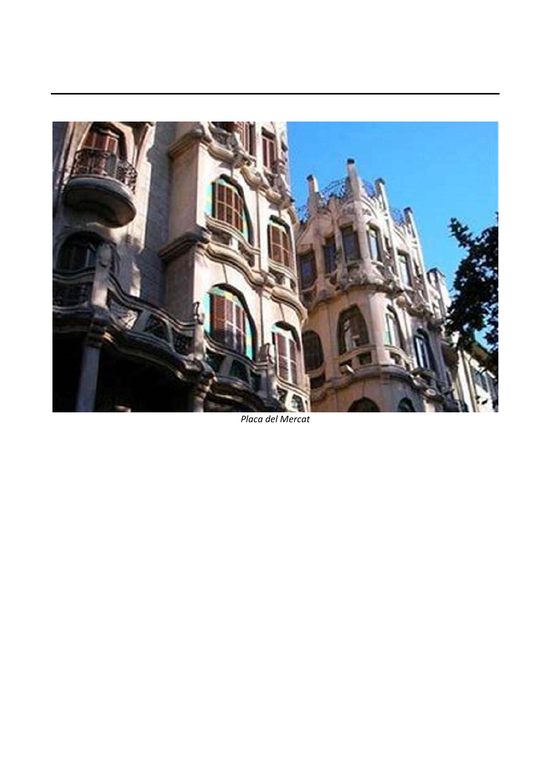

*Placa del Mercat*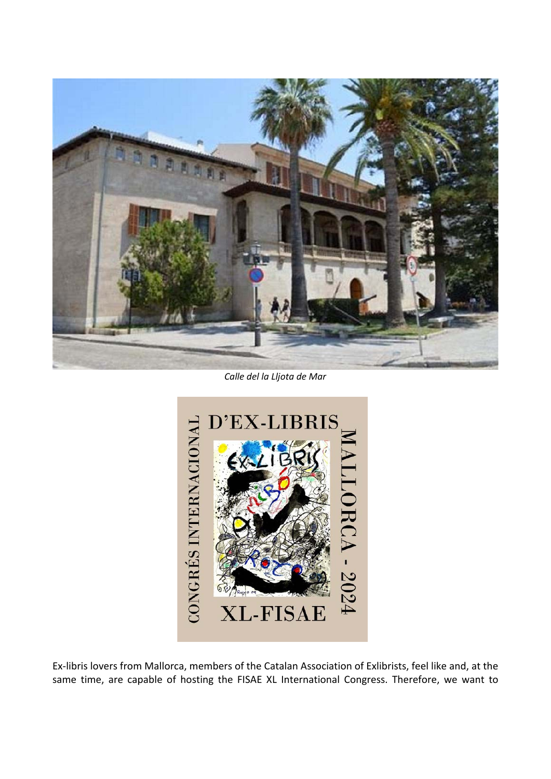

*Calle del la Lljota de Mar* 



Ex-libris lovers from Mallorca, members of the Catalan Association of Exlibrists, feel like and, at the same time, are capable of hosting the FISAE XL International Congress. Therefore, we want to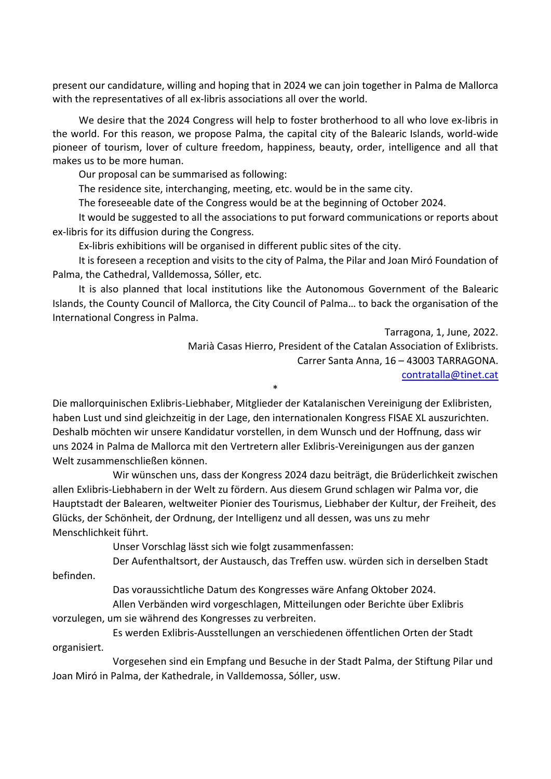present our candidature, willing and hoping that in 2024 we can join together in Palma de Mallorca with the representatives of all ex-libris associations all over the world.

 We desire that the 2024 Congress will help to foster brotherhood to all who love ex-libris in the world. For this reason, we propose Palma, the capital city of the Balearic Islands, world-wide pioneer of tourism, lover of culture freedom, happiness, beauty, order, intelligence and all that makes us to be more human.

Our proposal can be summarised as following:

The residence site, interchanging, meeting, etc. would be in the same city.

The foreseeable date of the Congress would be at the beginning of October 2024.

 It would be suggested to all the associations to put forward communications or reports about ex-libris for its diffusion during the Congress.

Ex-libris exhibitions will be organised in different public sites of the city.

 It is foreseen a reception and visits to the city of Palma, the Pilar and Joan Miró Foundation of Palma, the Cathedral, Valldemossa, Sóller, etc.

 It is also planned that local institutions like the Autonomous Government of the Balearic Islands, the County Council of Mallorca, the City Council of Palma… to back the organisation of the International Congress in Palma.

> Tarragona, 1, June, 2022. Marià Casas Hierro, President of the Catalan Association of Exlibrists. Carrer Santa Anna, 16 – 43003 TARRAGONA. contratalla@tinet.cat \*

Die mallorquinischen Exlibris-Liebhaber, Mitglieder der Katalanischen Vereinigung der Exlibristen, haben Lust und sind gleichzeitig in der Lage, den internationalen Kongress FISAE XL auszurichten. Deshalb möchten wir unsere Kandidatur vorstellen, in dem Wunsch und der Hoffnung, dass wir uns 2024 in Palma de Mallorca mit den Vertretern aller Exlibris-Vereinigungen aus der ganzen Welt zusammenschließen können.

 Wir wünschen uns, dass der Kongress 2024 dazu beiträgt, die Brüderlichkeit zwischen allen Exlibris-Liebhabern in der Welt zu fördern. Aus diesem Grund schlagen wir Palma vor, die Hauptstadt der Balearen, weltweiter Pionier des Tourismus, Liebhaber der Kultur, der Freiheit, des Glücks, der Schönheit, der Ordnung, der Intelligenz und all dessen, was uns zu mehr Menschlichkeit führt.

Unser Vorschlag lässt sich wie folgt zusammenfassen:

Der Aufenthaltsort, der Austausch, das Treffen usw. würden sich in derselben Stadt

befinden.

Das voraussichtliche Datum des Kongresses wäre Anfang Oktober 2024.

 Allen Verbänden wird vorgeschlagen, Mitteilungen oder Berichte über Exlibris vorzulegen, um sie während des Kongresses zu verbreiten.

 Es werden Exlibris-Ausstellungen an verschiedenen öffentlichen Orten der Stadt organisiert.

 Vorgesehen sind ein Empfang und Besuche in der Stadt Palma, der Stiftung Pilar und Joan Miró in Palma, der Kathedrale, in Valldemossa, Sóller, usw.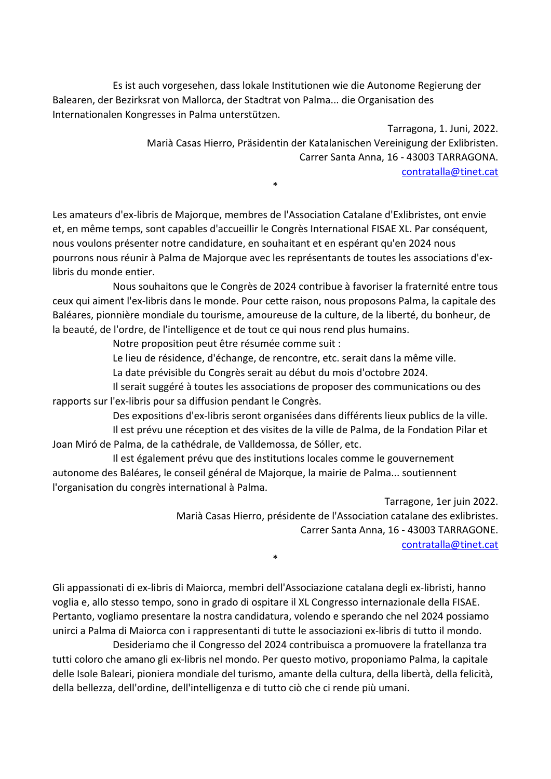Es ist auch vorgesehen, dass lokale Institutionen wie die Autonome Regierung der Balearen, der Bezirksrat von Mallorca, der Stadtrat von Palma... die Organisation des Internationalen Kongresses in Palma unterstützen.

> Tarragona, 1. Juni, 2022. Marià Casas Hierro, Präsidentin der Katalanischen Vereinigung der Exlibristen. Carrer Santa Anna, 16 - 43003 TARRAGONA. contratalla@tinet.cat \*

Les amateurs d'ex-libris de Majorque, membres de l'Association Catalane d'Exlibristes, ont envie et, en même temps, sont capables d'accueillir le Congrès International FISAE XL. Par conséquent, nous voulons présenter notre candidature, en souhaitant et en espérant qu'en 2024 nous pourrons nous réunir à Palma de Majorque avec les représentants de toutes les associations d'exlibris du monde entier.

 Nous souhaitons que le Congrès de 2024 contribue à favoriser la fraternité entre tous ceux qui aiment l'ex-libris dans le monde. Pour cette raison, nous proposons Palma, la capitale des Baléares, pionnière mondiale du tourisme, amoureuse de la culture, de la liberté, du bonheur, de la beauté, de l'ordre, de l'intelligence et de tout ce qui nous rend plus humains.

Notre proposition peut être résumée comme suit :

Le lieu de résidence, d'échange, de rencontre, etc. serait dans la même ville.

La date prévisible du Congrès serait au début du mois d'octobre 2024.

 Il serait suggéré à toutes les associations de proposer des communications ou des rapports sur l'ex-libris pour sa diffusion pendant le Congrès.

 Des expositions d'ex-libris seront organisées dans différents lieux publics de la ville. Il est prévu une réception et des visites de la ville de Palma, de la Fondation Pilar et Joan Miró de Palma, de la cathédrale, de Valldemossa, de Sóller, etc.

 Il est également prévu que des institutions locales comme le gouvernement autonome des Baléares, le conseil général de Majorque, la mairie de Palma... soutiennent l'organisation du congrès international à Palma.

> Tarragone, 1er juin 2022. Marià Casas Hierro, présidente de l'Association catalane des exlibristes. Carrer Santa Anna, 16 - 43003 TARRAGONE. contratalla@tinet.cat \*

Gli appassionati di ex-libris di Maiorca, membri dell'Associazione catalana degli ex-libristi, hanno voglia e, allo stesso tempo, sono in grado di ospitare il XL Congresso internazionale della FISAE. Pertanto, vogliamo presentare la nostra candidatura, volendo e sperando che nel 2024 possiamo unirci a Palma di Maiorca con i rappresentanti di tutte le associazioni ex-libris di tutto il mondo.

 Desideriamo che il Congresso del 2024 contribuisca a promuovere la fratellanza tra tutti coloro che amano gli ex-libris nel mondo. Per questo motivo, proponiamo Palma, la capitale delle Isole Baleari, pioniera mondiale del turismo, amante della cultura, della libertà, della felicità, della bellezza, dell'ordine, dell'intelligenza e di tutto ciò che ci rende più umani.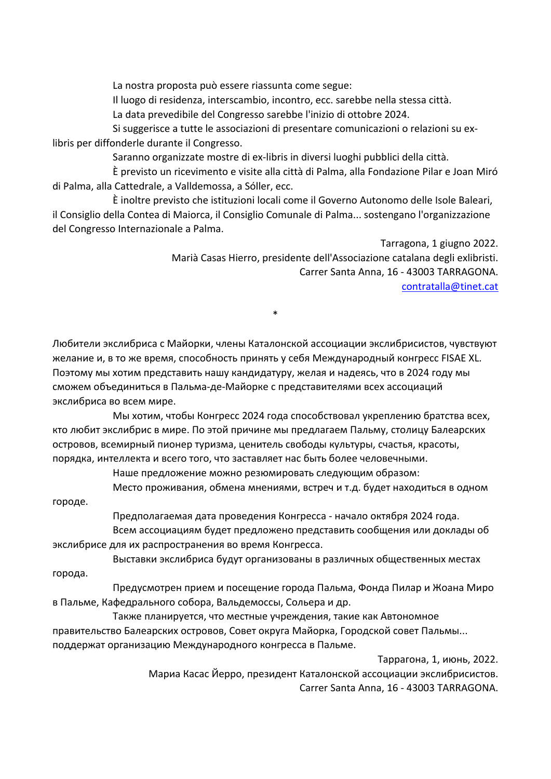La nostra proposta può essere riassunta come segue:

Il luogo di residenza, interscambio, incontro, ecc. sarebbe nella stessa città.

La data prevedibile del Congresso sarebbe l'inizio di ottobre 2024.

 Si suggerisce a tutte le associazioni di presentare comunicazioni o relazioni su exlibris per diffonderle durante il Congresso.

Saranno organizzate mostre di ex-libris in diversi luoghi pubblici della città.

 È previsto un ricevimento e visite alla città di Palma, alla Fondazione Pilar e Joan Miró di Palma, alla Cattedrale, a Valldemossa, a Sóller, ecc.

 È inoltre previsto che istituzioni locali come il Governo Autonomo delle Isole Baleari, il Consiglio della Contea di Maiorca, il Consiglio Comunale di Palma... sostengano l'organizzazione del Congresso Internazionale a Palma.

> Tarragona, 1 giugno 2022. Marià Casas Hierro, presidente dell'Associazione catalana degli exlibristi. Carrer Santa Anna, 16 - 43003 TARRAGONA. contratalla@tinet.cat

Любители экслибриса с Майорки, члены Каталонской ассоциации экслибрисистов, чувствуют желание и, в то же время, способность принять у себя Международный конгресс FISAE XL. Поэтому мы хотим представить нашу кандидатуру, желая и надеясь, что в 2024 году мы сможем объединиться в Пальма-де-Майорке с представителями всех ассоциаций экслибриса во всем мире.

\*

 Мы хотим, чтобы Конгресс 2024 года способствовал укреплению братства всех, кто любит экслибрис в мире. По этой причине мы предлагаем Пальму, столицу Балеарских островов, всемирный пионер туризма, ценитель свободы культуры, счастья, красоты, порядка, интеллекта и всего того, что заставляет нас быть более человечными.

Наше предложение можно резюмировать следующим образом:

 Место проживания, обмена мнениями, встреч и т.д. будет находиться в одном городе.

Предполагаемая дата проведения Конгресса - начало октября 2024 года.

 Всем ассоциациям будет предложено представить сообщения или доклады об экслибрисе для их распространения во время Конгресса.

 Выставки экслибриса будут организованы в различных общественных местах города.

 Предусмотрен прием и посещение города Пальма, Фонда Пилар и Жоана Миро в Пальме, Кафедрального собора, Вальдемоссы, Сольера и др.

 Также планируется, что местные учреждения, такие как Автономное правительство Балеарских островов, Совет округа Майорка, Городской совет Пальмы... поддержат организацию Международного конгресса в Пальме.

> Таррагона, 1, июнь, 2022. Мариа Касас Йерро, президент Каталонской ассоциации экслибрисистов. Carrer Santa Anna, 16 - 43003 TARRAGONA.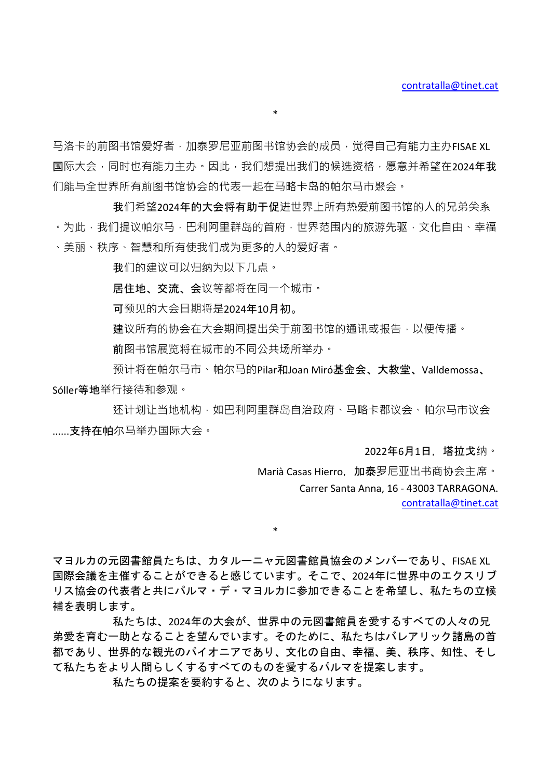马洛卡的前图书馆爱好者,加泰罗尼亚前图书馆协会的成员,觉得自己有能力主办FISAE XL 国际大会,同时也有能力主办。因此,我们想提出我们的候选资格,愿意并希望在2024年我 们能与全世界所有前图书馆协会的代表一起在马略卡岛的帕尔马市聚会。

\*

我们希望2024年的大会将有助于促进世界上所有热爱前图书馆的人的兄弟关系 。为此,我们提议帕尔马,巴利阿里群岛的首府,世界范围内的旅游先驱,文化自由、幸福 、美丽、秩序、智慧和所有使我们成为更多的人的爱好者。

我们的建议可以归纳为以下几点。

居住地、交流、会议等都将在同一个城市。

可预见的大会日期将是2024年10月初。

建议所有的协会在大会期间提出关于前图书馆的通讯或报告,以便传播。

前图书馆展览将在城市的不同公共场所举办。

预计将在帕尔马市、帕尔马的Pilar和Joan Miró基金会、大教堂、Valldemossa、 Sóller等地举行接待和参观。

还计划让当地机构,如巴利阿里群岛自治政府、马略卡郡议会、帕尔马市议会 ......支持在帕尔⻢举办国际大会。

2022年6月1日,塔拉戈纳。

Marià Casas Hierro, 加泰罗尼亚出书商协会主席。 Carrer Santa Anna, 16 - 43003 TARRAGONA. contratalla@tinet.cat

マヨルカの元図書館員たちは、カタルーニャ元図書館員協会のメンバーであり、FISAE XL 国際会議を主催することができると感じています。そこで、2024年に世界中のエクスリブ リス協会の代表者と共にパルマ・デ・マヨルカに参加できることを希望し、私たちの立候 補を表明します。

\*

私たちは、2024年の大会が、世界中の元図書館員を愛するすべての人々の兄 弟愛を育む一助となることを望んでいます。そのために、私たちはバレアリック諸島の首 都であり、世界的な観光のパイオニアであり、文化の自由、幸福、美、秩序、知性、そし て私たちをより人間らしくするすべてのものを愛するパルマを提案します。

私たちの提案を要約すると、次のようになります。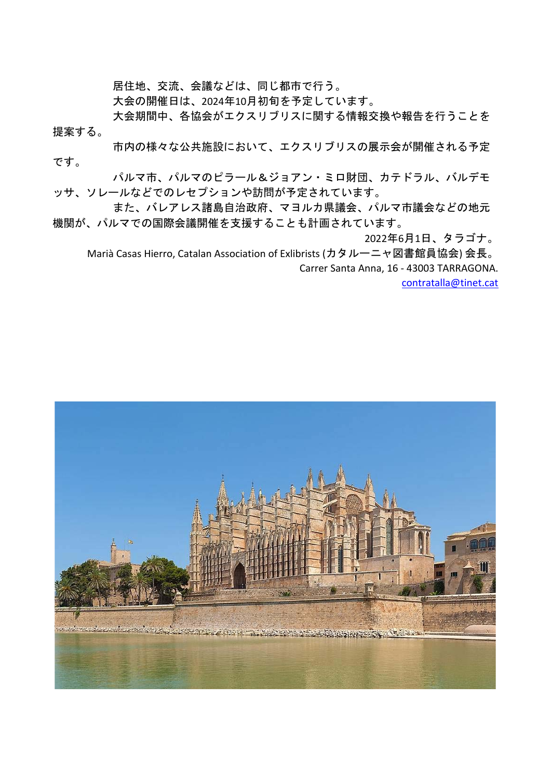居住地、交流、会議などは、同じ都市で行う。

大会の開催日は、2024年10月初旬を予定しています。

大会期間中、各協会がエクスリブリスに関する情報交換や報告を行うことを 提案する。

市内の様々な公共施設において、エクスリブリスの展示会が開催される予定 です。

パルマ市、パルマのピラール&ジョアン・ミロ財団、カテドラル、バルデモ ッサ、ソレールなどでのレセプションや訪問が予定されています。

また、バレアレス諸島自治政府、マヨルカ県議会、パルマ市議会などの地元 機関が、パルマでの国際会議開催を支援することも計画されています。

2022年6月1日、タラゴナ。

Marià Casas Hierro, Catalan Association of Exlibrists (カタルーニャ図書館員協会) 会長。 Carrer Santa Anna, 16 - 43003 TARRAGONA.

contratalla@tinet.cat